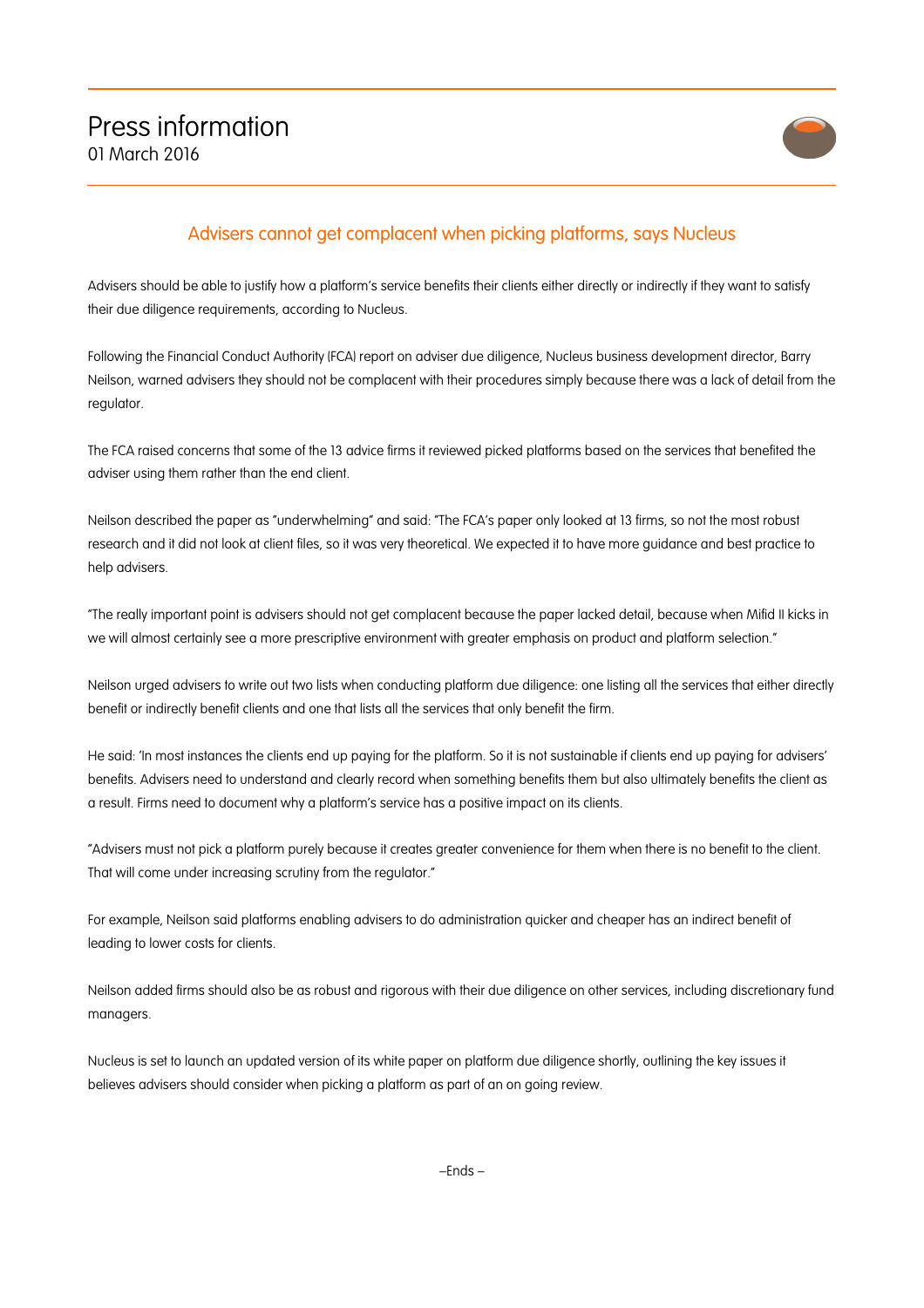

## Advisers cannot get complacent when picking platforms, says Nucleus

Advisers should be able to justify how a platform's service benefits their clients either directly or indirectly if they want to satisfy their due diligence requirements, according to Nucleus.

Following the Financial Conduct Authority (FCA) report on adviser due diligence, Nucleus business development director, Barry Neilson, warned advisers they should not be complacent with their procedures simply because there was a lack of detail from the regulator.

The FCA raised concerns that some of the 13 advice firms it reviewed picked platforms based on the services that benefited the adviser using them rather than the end client.

Neilson described the paper as "underwhelming" and said: "The FCA's paper only looked at 13 firms, so not the most robust research and it did not look at client files, so it was very theoretical. We expected it to have more guidance and best practice to help advisers.

"The really important point is advisers should not get complacent because the paper lacked detail, because when Mifid II kicks in we will almost certainly see a more prescriptive environment with greater emphasis on product and platform selection."

Neilson urged advisers to write out two lists when conducting platform due diligence: one listing all the services that either directly benefit or indirectly benefit clients and one that lists all the services that only benefit the firm.

He said: 'In most instances the clients end up paying for the platform. So it is not sustainable if clients end up paying for advisers' benefits. Advisers need to understand and clearly record when something benefits them but also ultimately benefits the client as a result. Firms need to document why a platform's service has a positive impact on its clients.

"Advisers must not pick a platform purely because it creates greater convenience for them when there is no benefit to the client. That will come under increasing scrutiny from the regulator."

For example, Neilson said platforms enabling advisers to do administration quicker and cheaper has an indirect benefit of leading to lower costs for clients.

Neilson added firms should also be as robust and rigorous with their due diligence on other services, including discretionary fund managers.

Nucleus is set to launch an updated version of its white paper on platform due diligence shortly, outlining the key issues it believes advisers should consider when picking a platform as part of an on going review.